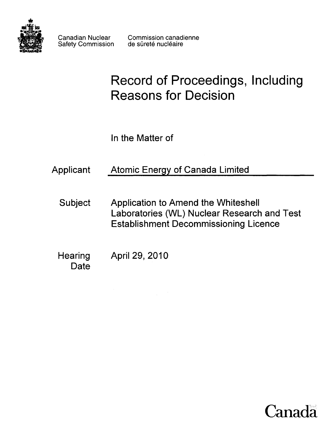

Safety Commission

# **Record of Proceedings, Including Reasons for Decision**

In the Matter of

| Applicant |  | <b>Atomic Energy of Canada Limited</b> |  |
|-----------|--|----------------------------------------|--|
|           |  |                                        |  |

- Subject Application to Amend the Whiteshell Laboratories (WL) Nuclear Research and Test Establishment Decommissioning Licence
- Hearing April 29, 2010 **Date**

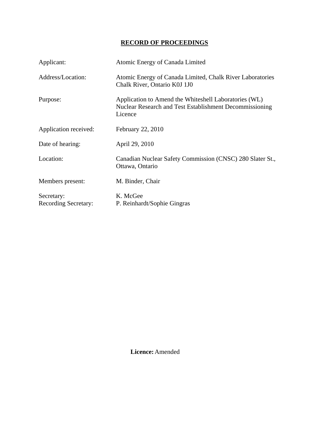# **RECORD OF PROCEEDINGS**

| Applicant:                                | Atomic Energy of Canada Limited                                                                                             |  |  |
|-------------------------------------------|-----------------------------------------------------------------------------------------------------------------------------|--|--|
| Address/Location:                         | Atomic Energy of Canada Limited, Chalk River Laboratories<br>Chalk River, Ontario K0J 1J0                                   |  |  |
| Purpose:                                  | Application to Amend the Whiteshell Laboratories (WL)<br>Nuclear Research and Test Establishment Decommissioning<br>Licence |  |  |
| Application received:                     | February 22, 2010                                                                                                           |  |  |
| Date of hearing:                          | April 29, 2010                                                                                                              |  |  |
| Location:                                 | Canadian Nuclear Safety Commission (CNSC) 280 Slater St.,<br>Ottawa, Ontario                                                |  |  |
| Members present:                          | M. Binder, Chair                                                                                                            |  |  |
| Secretary:<br><b>Recording Secretary:</b> | K. McGee<br>P. Reinhardt/Sophie Gingras                                                                                     |  |  |

 **Licence:** Amended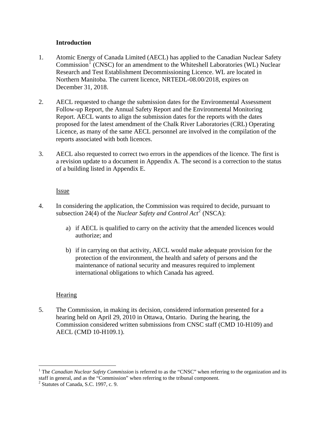### **Introduction**

- <span id="page-3-0"></span>1. Atomic Energy of Canada Limited (AECL) has applied to the Canadian Nuclear Safety Commission<sup>[1](#page-3-1)</sup> (CNSC) for an amendment to the Whiteshell Laboratories (WL) Nuclear Research and Test Establishment Decommissioning Licence. WL are located in Northern Manitoba. The current licence, NRTEDL-08.00/2018, expires on December 31, 2018.
- 2. AECL requested to change the submission dates for the Environmental Assessment Follow-up Report, the Annual Safety Report and the Environmental Monitoring Report. AECL wants to align the submission dates for the reports with the dates proposed for the latest amendment of the Chalk River Laboratories (CRL) Operating Licence, as many of the same AECL personnel are involved in the compilation of the reports associated with both licences.
- 3. AECL also requested to correct two errors in the appendices of the licence. The first is a revision update to a document in Appendix A. The second is a correction to the status of a building listed in Appendix E.

### Issue

- 4. In considering the application, the Commission was required to decide, pursuant to subsection [2](#page-3-2)4(4) of the *Nuclear Safety and Control Act*<sup>2</sup> (NSCA):
	- a) if AECL is qualified to carry on the activity that the amended licences would authorize; and
	- b) if in carrying on that activity, AECL would make adequate provision for the protection of the environment, the health and safety of persons and the maintenance of national security and measures required to implement international obligations to which Canada has agreed.

## Hearing

 $\overline{a}$ 

5. The Commission, in making its decision, considered information presented for a hearing held on April 29, 2010 in Ottawa, Ontario. During the hearing, the Commission considered written submissions from CNSC staff (CMD 10-H109) and AECL (CMD 10-H109.1).

<span id="page-3-1"></span><sup>&</sup>lt;sup>1</sup> The *Canadian Nuclear Safety Commission* is referred to as the "CNSC" when referring to the organization and its staff in general, and as the "Commission" when referring to the tribunal component.

<span id="page-3-2"></span><sup>2</sup> Statutes of Canada, S.C. 1997, c. 9.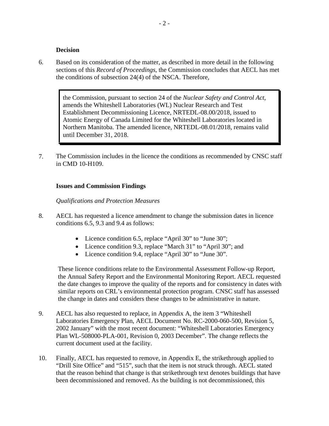#### **Decision**

<span id="page-4-0"></span>6. Based on its consideration of the matter, as described in more detail in the following sections of this *Record of Proceedings*, the Commission concludes that AECL has met the conditions of subsection 24(4) of the NSCA. Therefore,

the Commission, pursuant to section 24 of the *Nuclear Safety and Control Act*, amends the Whiteshell Laboratories (WL) Nuclear Research and Test Establishment Decommissioning Licence, NRTEDL-08.00/2018, issued to Atomic Energy of Canada Limited for the Whiteshell Laboratories located in Northern Manitoba. The amended licence, NRTEDL-08.01/2018, remains valid until December 31, 2018.

7. The Commission includes in the licence the conditions as recommended by CNSC staff in CMD 10-H109.

### **Issues and Commission Findings**

#### *Qualifications and Protection Measures*

- 8. AECL has requested a licence amendment to change the submission dates in licence conditions 6.5, 9.3 and 9.4 as follows:
	- Licence condition 6.5, replace "April 30" to "June 30";
	- Licence condition 9.3, replace "March 31" to "April 30"; and
	- Licence condition 9.4, replace "April 30" to "June 30".

These licence conditions relate to the Environmental Assessment Follow-up Report, the Annual Safety Report and the Environmental Monitoring Report. AECL requested the date changes to improve the quality of the reports and for consistency in dates with similar reports on CRL's environmental protection program. CNSC staff has assessed the change in dates and considers these changes to be administrative in nature.

- 9. AECL has also requested to replace, in Appendix A, the item 3 "Whiteshell Laboratories Emergency Plan, AECL Document No. RC-2000-060-500, Revision 5, 2002 January" with the most recent document: "Whiteshell Laboratories Emergency Plan WL-508000-PLA-001, Revision 0, 2003 December". The change reflects the current document used at the facility.
- 10. Finally, AECL has requested to remove, in Appendix E, the strikethrough applied to "Drill Site Office" and "515", such that the item is not struck through. AECL stated that the reason behind that change is that strikethrough text denotes buildings that have been decommissioned and removed. As the building is not decommissioned, this